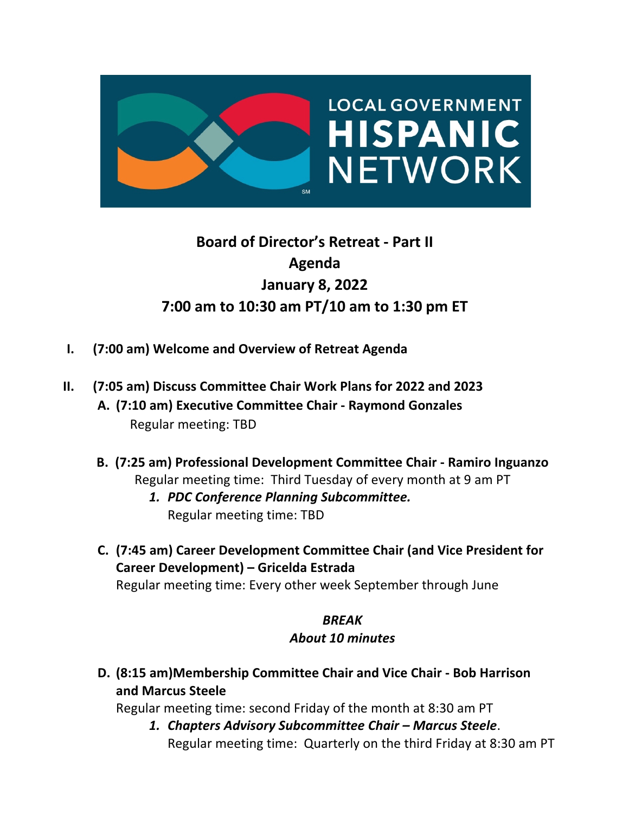

# **Board of Director's Retreat - Part II Agenda January 8, 2022 7:00 am to 10:30 am PT/10 am to 1:30 pm ET**

- **I. (7:00 am) Welcome and Overview of Retreat Agenda**
- **II. (7:05 am) Discuss Committee Chair Work Plans for 2022 and 2023 A. (7:10 am) Executive Committee Chair - Raymond Gonzales** Regular meeting: TBD
	- **B. (7:25 am) Professional Development Committee Chair - Ramiro Inguanzo** Regular meeting time: Third Tuesday of every month at 9 am PT
		- *1. PDC Conference Planning Subcommittee.* Regular meeting time: TBD
	- **C. (7:45 am) Career Development Committee Chair (and Vice President for Career Development) – Gricelda Estrada**

Regular meeting time: Every other week September through June

## *BREAK*

## *About 10 minutes*

**D. (8:15 am)Membership Committee Chair and Vice Chair - Bob Harrison and Marcus Steele**

Regular meeting time: second Friday of the month at 8:30 am PT

*1. Chapters Advisory Subcommittee Chair – Marcus Steele*. Regular meeting time: Quarterly on the third Friday at 8:30 am PT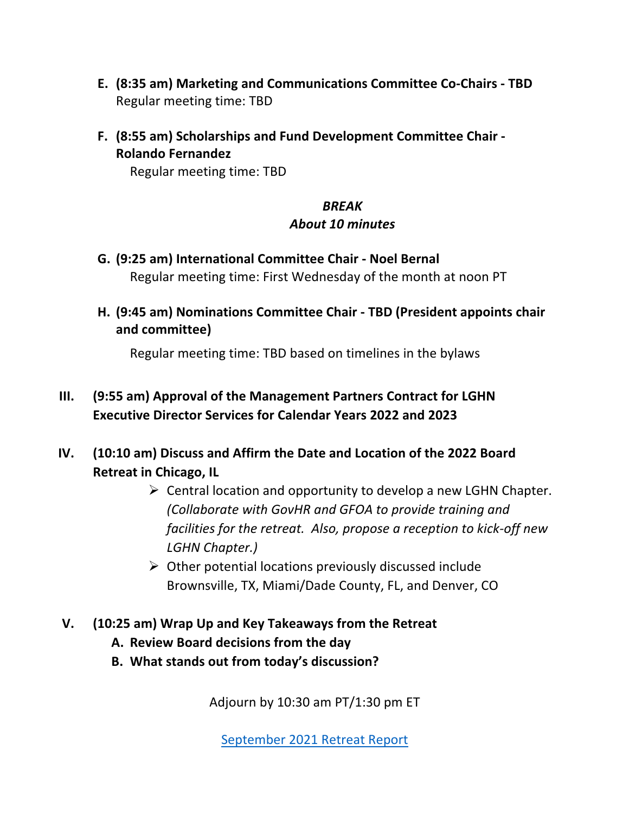- **E. (8:35 am) Marketing and Communications Committee Co-Chairs - TBD** Regular meeting time: TBD
- **F. (8:55 am) Scholarships and Fund Development Committee Chair - Rolando Fernandez**

Regular meeting time: TBD

## *BREAK About 10 minutes*

- **G. (9:25 am) International Committee Chair - Noel Bernal** Regular meeting time: First Wednesday of the month at noon PT
- **H. (9:45 am) Nominations Committee Chair - TBD (President appoints chair and committee)**

Regular meeting time: TBD based on timelines in the bylaws

## **III. (9:55 am) Approval of the Management Partners Contract for LGHN Executive Director Services for Calendar Years 2022 and 2023**

- **IV. (10:10 am) Discuss and Affirm the Date and Location of the 2022 Board Retreat in Chicago, IL**
	- $\triangleright$  Central location and opportunity to develop a new LGHN Chapter. *(Collaborate with GovHR and GFOA to provide training and facilities for the retreat. Also, propose a reception to kick-off new LGHN Chapter.)*
	- $\triangleright$  Other potential locations previously discussed include Brownsville, TX, Miami/Dade County, FL, and Denver, CO

### **V. (10:25 am) Wrap Up and Key Takeaways from the Retreat**

- **A. Review Board decisions from the day**
- **B. What stands out from today's discussion?**

Adjourn by 10:30 am PT/1:30 pm ET

September 2021 Retreat Report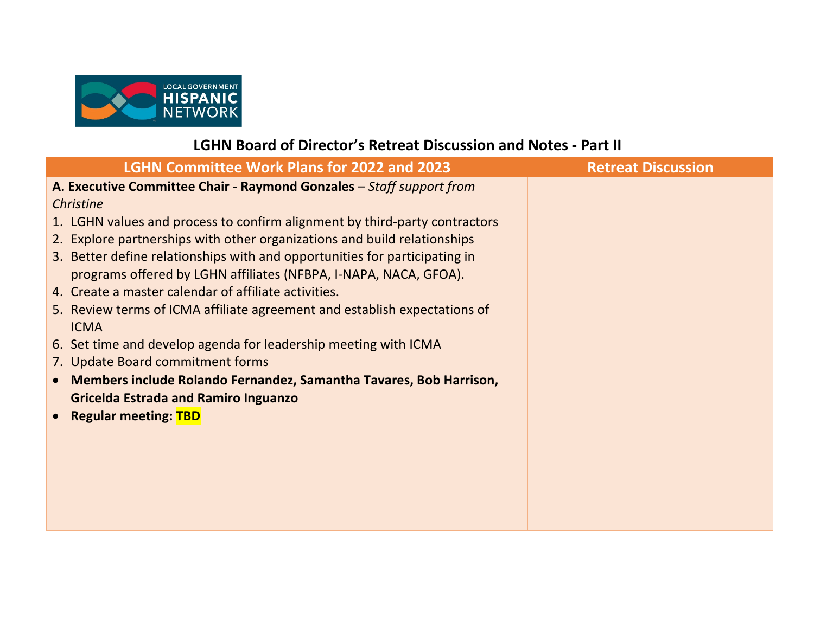

## **LGHN Board of Director's Retreat Discussion and Notes - Part II**

|                                          | <b>LGHN Committee Work Plans for 2022 and 2023</b>                         | <b>Retreat Discussion</b> |
|------------------------------------------|----------------------------------------------------------------------------|---------------------------|
|                                          | A. Executive Committee Chair - Raymond Gonzales - Staff support from       |                           |
| <b>Christine</b>                         |                                                                            |                           |
|                                          | 1. LGHN values and process to confirm alignment by third-party contractors |                           |
|                                          | 2. Explore partnerships with other organizations and build relationships   |                           |
|                                          | 3. Better define relationships with and opportunities for participating in |                           |
|                                          | programs offered by LGHN affiliates (NFBPA, I-NAPA, NACA, GFOA).           |                           |
|                                          | 4. Create a master calendar of affiliate activities.                       |                           |
|                                          | 5. Review terms of ICMA affiliate agreement and establish expectations of  |                           |
| <b>ICMA</b>                              |                                                                            |                           |
|                                          | 6. Set time and develop agenda for leadership meeting with ICMA            |                           |
|                                          | 7. Update Board commitment forms                                           |                           |
| $\bullet$                                | Members include Rolando Fernandez, Samantha Tavares, Bob Harrison,         |                           |
|                                          | <b>Gricelda Estrada and Ramiro Inguanzo</b>                                |                           |
| <b>Regular meeting: TBD</b><br>$\bullet$ |                                                                            |                           |
|                                          |                                                                            |                           |
|                                          |                                                                            |                           |
|                                          |                                                                            |                           |
|                                          |                                                                            |                           |
|                                          |                                                                            |                           |
|                                          |                                                                            |                           |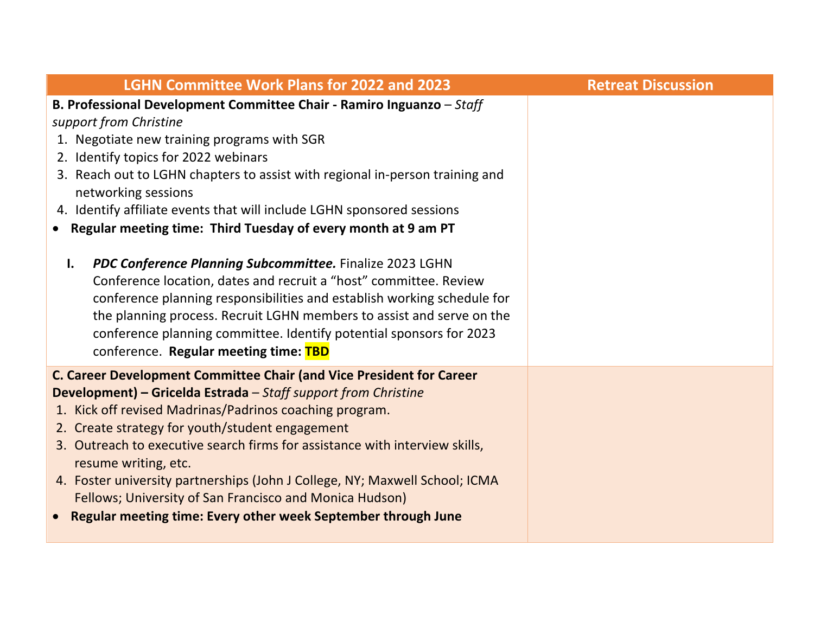| <b>LGHN Committee Work Plans for 2022 and 2023</b>                                                                                                                                                                                                                                                                                                                                                                                                                                                                                                                                                                                                                                                                                                                                                                                                                | <b>Retreat Discussion</b> |
|-------------------------------------------------------------------------------------------------------------------------------------------------------------------------------------------------------------------------------------------------------------------------------------------------------------------------------------------------------------------------------------------------------------------------------------------------------------------------------------------------------------------------------------------------------------------------------------------------------------------------------------------------------------------------------------------------------------------------------------------------------------------------------------------------------------------------------------------------------------------|---------------------------|
| B. Professional Development Committee Chair - Ramiro Inguanzo - Staff<br>support from Christine<br>1. Negotiate new training programs with SGR<br>2. Identify topics for 2022 webinars<br>3. Reach out to LGHN chapters to assist with regional in-person training and<br>networking sessions<br>4. Identify affiliate events that will include LGHN sponsored sessions<br>• Regular meeting time: Third Tuesday of every month at 9 am PT<br>PDC Conference Planning Subcommittee. Finalize 2023 LGHN<br>$\mathbf{l}$ .<br>Conference location, dates and recruit a "host" committee. Review<br>conference planning responsibilities and establish working schedule for<br>the planning process. Recruit LGHN members to assist and serve on the<br>conference planning committee. Identify potential sponsors for 2023<br>conference. Regular meeting time: TBD |                           |
| C. Career Development Committee Chair (and Vice President for Career<br>Development) - Gricelda Estrada - Staff support from Christine<br>1. Kick off revised Madrinas/Padrinos coaching program.<br>2. Create strategy for youth/student engagement<br>3. Outreach to executive search firms for assistance with interview skills,<br>resume writing, etc.<br>4. Foster university partnerships (John J College, NY; Maxwell School; ICMA<br>Fellows; University of San Francisco and Monica Hudson)<br>Regular meeting time: Every other week September through June                                                                                                                                                                                                                                                                                            |                           |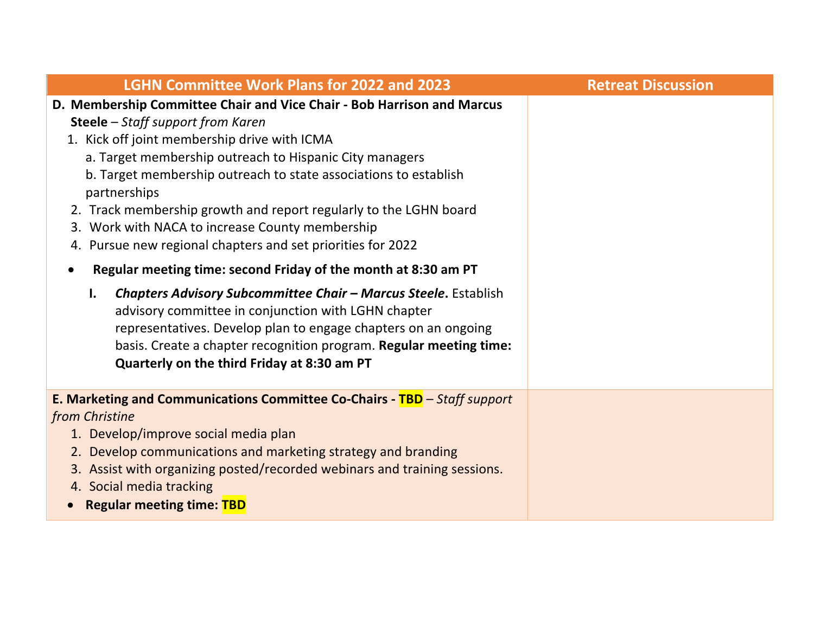| <b>LGHN Committee Work Plans for 2022 and 2023</b>                                                                                                                                                                                                                                                                                                                                                                                                                                                                                                                                                                                                                                                                                                                                                                                                                                                             | <b>Retreat Discussion</b> |
|----------------------------------------------------------------------------------------------------------------------------------------------------------------------------------------------------------------------------------------------------------------------------------------------------------------------------------------------------------------------------------------------------------------------------------------------------------------------------------------------------------------------------------------------------------------------------------------------------------------------------------------------------------------------------------------------------------------------------------------------------------------------------------------------------------------------------------------------------------------------------------------------------------------|---------------------------|
| D. Membership Committee Chair and Vice Chair - Bob Harrison and Marcus<br>Steele - Staff support from Karen<br>1. Kick off joint membership drive with ICMA<br>a. Target membership outreach to Hispanic City managers<br>b. Target membership outreach to state associations to establish<br>partnerships<br>2. Track membership growth and report regularly to the LGHN board<br>3. Work with NACA to increase County membership<br>4. Pursue new regional chapters and set priorities for 2022<br>Regular meeting time: second Friday of the month at 8:30 am PT<br>$\bullet$<br><b>Chapters Advisory Subcommittee Chair - Marcus Steele.</b> Establish<br>I.<br>advisory committee in conjunction with LGHN chapter<br>representatives. Develop plan to engage chapters on an ongoing<br>basis. Create a chapter recognition program. Regular meeting time:<br>Quarterly on the third Friday at 8:30 am PT |                           |
| E. Marketing and Communications Committee Co-Chairs - TBD - Staff support<br>from Christine<br>1. Develop/improve social media plan<br>2. Develop communications and marketing strategy and branding<br>3. Assist with organizing posted/recorded webinars and training sessions.<br>4. Social media tracking<br><b>Regular meeting time: TBD</b>                                                                                                                                                                                                                                                                                                                                                                                                                                                                                                                                                              |                           |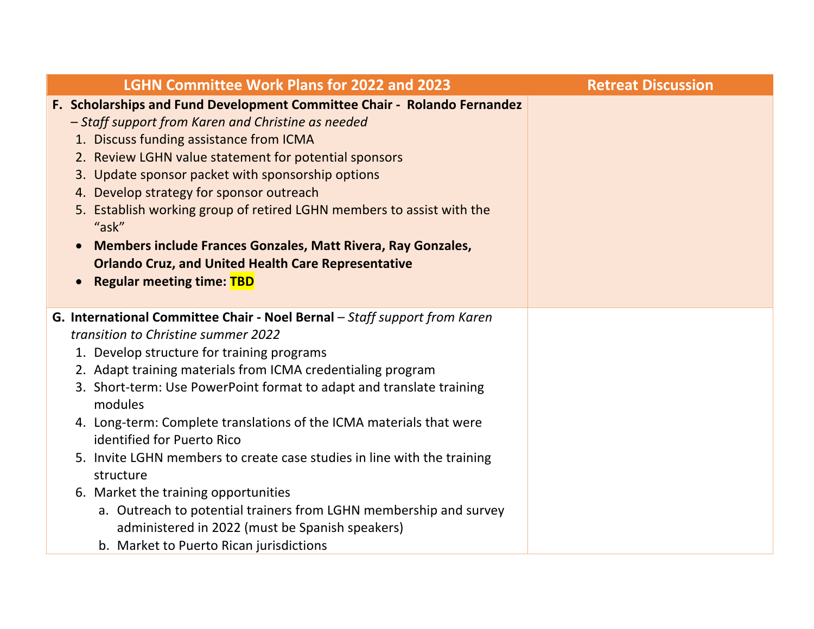| <b>LGHN Committee Work Plans for 2022 and 2023</b>                                                                                                                                                                                                                                                                                                                                                                                                                                                                                                                                                                                                                                                                       | <b>Retreat Discussion</b> |
|--------------------------------------------------------------------------------------------------------------------------------------------------------------------------------------------------------------------------------------------------------------------------------------------------------------------------------------------------------------------------------------------------------------------------------------------------------------------------------------------------------------------------------------------------------------------------------------------------------------------------------------------------------------------------------------------------------------------------|---------------------------|
| F. Scholarships and Fund Development Committee Chair - Rolando Fernandez<br>- Staff support from Karen and Christine as needed<br>1. Discuss funding assistance from ICMA<br>2. Review LGHN value statement for potential sponsors<br>3. Update sponsor packet with sponsorship options<br>4. Develop strategy for sponsor outreach<br>5. Establish working group of retired LGHN members to assist with the<br>"ask"<br>Members include Frances Gonzales, Matt Rivera, Ray Gonzales,<br><b>Orlando Cruz, and United Health Care Representative</b><br><b>Regular meeting time: TBD</b>                                                                                                                                  |                           |
| G. International Committee Chair - Noel Bernal - Staff support from Karen<br>transition to Christine summer 2022<br>1. Develop structure for training programs<br>2. Adapt training materials from ICMA credentialing program<br>3. Short-term: Use PowerPoint format to adapt and translate training<br>modules<br>4. Long-term: Complete translations of the ICMA materials that were<br>identified for Puerto Rico<br>5. Invite LGHN members to create case studies in line with the training<br>structure<br>6. Market the training opportunities<br>a. Outreach to potential trainers from LGHN membership and survey<br>administered in 2022 (must be Spanish speakers)<br>b. Market to Puerto Rican jurisdictions |                           |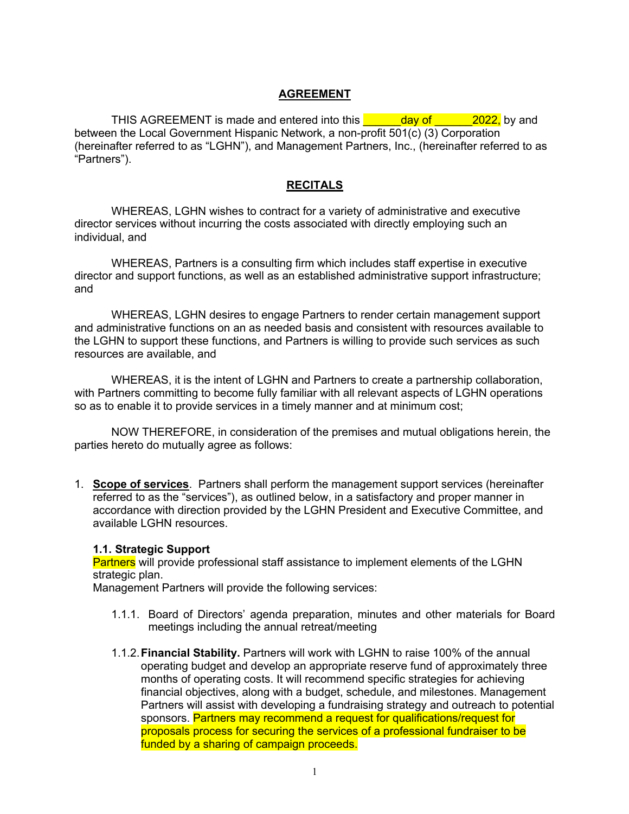#### **AGREEMENT**

THIS AGREEMENT is made and entered into this **the day of the 2022,** by and between the Local Government Hispanic Network, a non-profit 501(c) (3) Corporation (hereinafter referred to as "LGHN"), and Management Partners, Inc., (hereinafter referred to as "Partners").

#### **RECITALS**

WHEREAS, LGHN wishes to contract for a variety of administrative and executive director services without incurring the costs associated with directly employing such an individual, and

WHEREAS, Partners is a consulting firm which includes staff expertise in executive director and support functions, as well as an established administrative support infrastructure; and

WHEREAS, LGHN desires to engage Partners to render certain management support and administrative functions on an as needed basis and consistent with resources available to the LGHN to support these functions, and Partners is willing to provide such services as such resources are available, and

WHEREAS, it is the intent of LGHN and Partners to create a partnership collaboration, with Partners committing to become fully familiar with all relevant aspects of LGHN operations so as to enable it to provide services in a timely manner and at minimum cost;

NOW THEREFORE, in consideration of the premises and mutual obligations herein, the parties hereto do mutually agree as follows:

1. **Scope of services**. Partners shall perform the management support services (hereinafter referred to as the "services"), as outlined below, in a satisfactory and proper manner in accordance with direction provided by the LGHN President and Executive Committee, and available LGHN resources.

#### **1.1. Strategic Support**

Partners will provide professional staff assistance to implement elements of the LGHN strategic plan.

Management Partners will provide the following services:

- 1.1.1. Board of Directors' agenda preparation, minutes and other materials for Board meetings including the annual retreat/meeting
- 1.1.2.**Financial Stability.** Partners will work with LGHN to raise 100% of the annual operating budget and develop an appropriate reserve fund of approximately three months of operating costs. It will recommend specific strategies for achieving financial objectives, along with a budget, schedule, and milestones. Management Partners will assist with developing a fundraising strategy and outreach to potential sponsors. Partners may recommend a request for qualifications/request for proposals process for securing the services of a professional fundraiser to be funded by a sharing of campaign proceeds.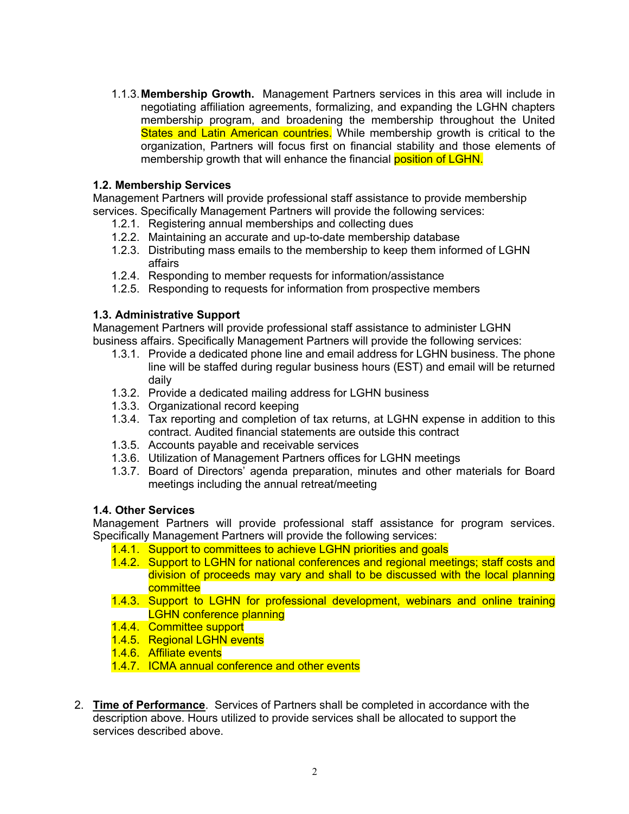1.1.3.**Membership Growth.**Management Partners services in this area will include in negotiating affiliation agreements, formalizing, and expanding the LGHN chapters membership program, and broadening the membership throughout the United States and Latin American countries. While membership growth is critical to the organization, Partners will focus first on financial stability and those elements of membership growth that will enhance the financial position of LGHN.

#### **1.2. Membership Services**

Management Partners will provide professional staff assistance to provide membership services. Specifically Management Partners will provide the following services:

- 1.2.1. Registering annual memberships and collecting dues
- 1.2.2. Maintaining an accurate and up-to-date membership database
- 1.2.3. Distributing mass emails to the membership to keep them informed of LGHN affairs
- 1.2.4. Responding to member requests for information/assistance
- 1.2.5. Responding to requests for information from prospective members

#### **1.3. Administrative Support**

Management Partners will provide professional staff assistance to administer LGHN business affairs. Specifically Management Partners will provide the following services:

- 1.3.1. Provide a dedicated phone line and email address for LGHN business. The phone line will be staffed during regular business hours (EST) and email will be returned daily
- 1.3.2. Provide a dedicated mailing address for LGHN business
- 1.3.3. Organizational record keeping
- 1.3.4. Tax reporting and completion of tax returns, at LGHN expense in addition to this contract. Audited financial statements are outside this contract
- 1.3.5. Accounts payable and receivable services
- 1.3.6. Utilization of Management Partners offices for LGHN meetings
- 1.3.7. Board of Directors' agenda preparation, minutes and other materials for Board meetings including the annual retreat/meeting

#### **1.4. Other Services**

Management Partners will provide professional staff assistance for program services. Specifically Management Partners will provide the following services:

- 1.4.1. Support to committees to achieve LGHN priorities and goals
- 1.4.2. Support to LGHN for national conferences and regional meetings; staff costs and division of proceeds may vary and shall to be discussed with the local planning committee
- 1.4.3. Support to LGHN for professional development, webinars and online training LGHN conference planning
- 1.4.4. Committee support
- 1.4.5. Regional LGHN events
- 1.4.6. Affiliate events
- 1.4.7. ICMA annual conference and other events
- 2. **Time of Performance**. Services of Partners shall be completed in accordance with the description above. Hours utilized to provide services shall be allocated to support the services described above.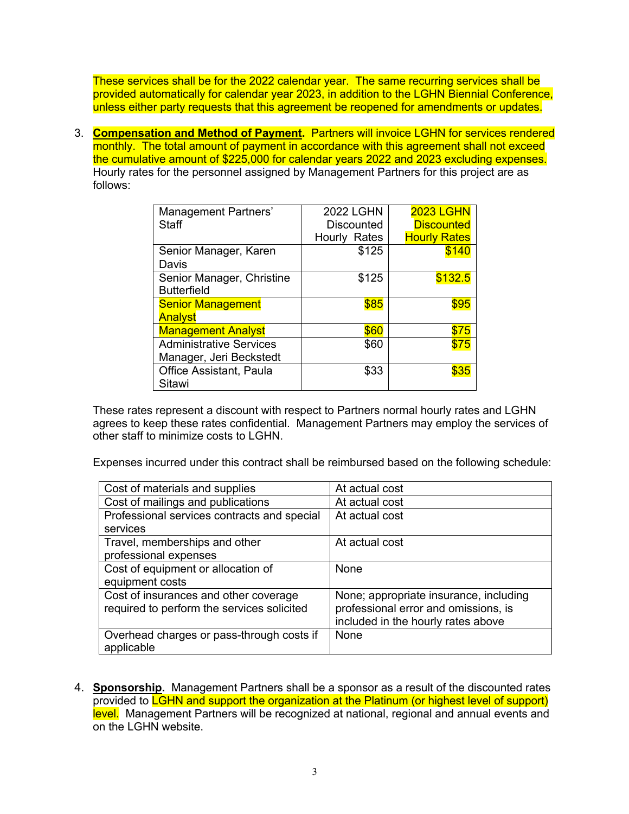These services shall be for the 2022 calendar year. The same recurring services shall be provided automatically for calendar year 2023, in addition to the LGHN Biennial Conference, unless either party requests that this agreement be reopened for amendments or updates.

3. **Compensation and Method of Payment.** Partners will invoice LGHN for services rendered monthly. The total amount of payment in accordance with this agreement shall not exceed the cumulative amount of \$225,000 for calendar years 2022 and 2023 excluding expenses. Hourly rates for the personnel assigned by Management Partners for this project are as follows:

| Management Partners'           | <b>2022 LGHN</b>  | <b>2023 LGHN</b>    |
|--------------------------------|-------------------|---------------------|
| Staff                          | <b>Discounted</b> | <b>Discounted</b>   |
|                                | Hourly Rates      | <b>Hourly Rates</b> |
| Senior Manager, Karen          | \$125             | \$140               |
| Davis                          |                   |                     |
| Senior Manager, Christine      | \$125             | \$132.5             |
| <b>Butterfield</b>             |                   |                     |
| <b>Senior Management</b>       | \$85              | \$95                |
| Analyst                        |                   |                     |
| <b>Management Analyst</b>      | \$60              | \$75                |
| <b>Administrative Services</b> | \$60              | \$75                |
| Manager, Jeri Beckstedt        |                   |                     |
| <b>Office Assistant, Paula</b> | \$33              | \$35                |
| Sitawi                         |                   |                     |

These rates represent a discount with respect to Partners normal hourly rates and LGHN agrees to keep these rates confidential. Management Partners may employ the services of other staff to minimize costs to LGHN.

Expenses incurred under this contract shall be reimbursed based on the following schedule:

| Cost of materials and supplies                                                      | At actual cost                                                                                                       |
|-------------------------------------------------------------------------------------|----------------------------------------------------------------------------------------------------------------------|
| Cost of mailings and publications                                                   | At actual cost                                                                                                       |
| Professional services contracts and special                                         | At actual cost                                                                                                       |
| services                                                                            |                                                                                                                      |
| Travel, memberships and other                                                       | At actual cost                                                                                                       |
| professional expenses                                                               |                                                                                                                      |
| Cost of equipment or allocation of                                                  | None                                                                                                                 |
| equipment costs                                                                     |                                                                                                                      |
| Cost of insurances and other coverage<br>required to perform the services solicited | None; appropriate insurance, including<br>professional error and omissions, is<br>included in the hourly rates above |
| Overhead charges or pass-through costs if<br>applicable                             | None                                                                                                                 |

4. **Sponsorship.** Management Partners shall be a sponsor as a result of the discounted rates provided to **LGHN and support the organization at the Platinum (or highest level of support)** level. Management Partners will be recognized at national, regional and annual events and on the LGHN website.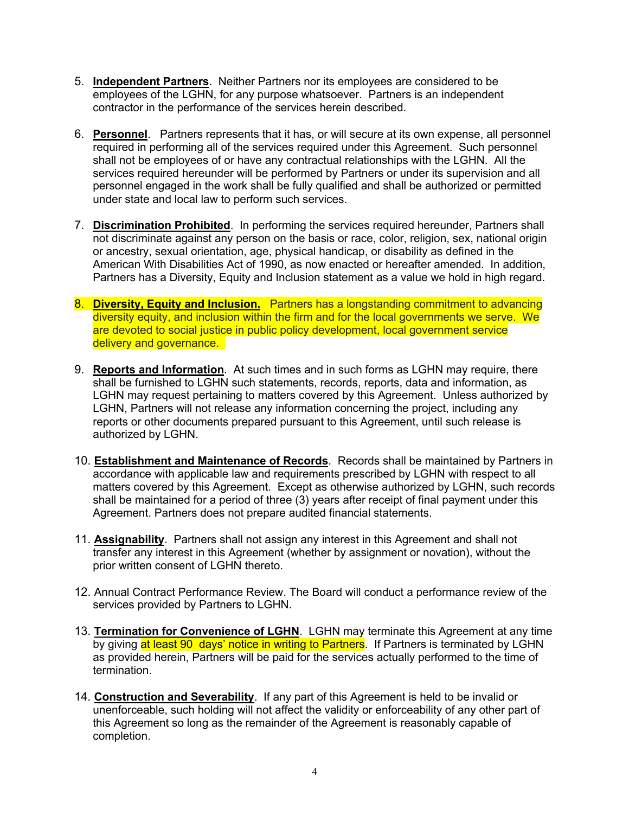- 5. **Independent Partners**. Neither Partners nor its employees are considered to be employees of the LGHN, for any purpose whatsoever. Partners is an independent contractor in the performance of the services herein described.
- 6. **Personnel**. Partners represents that it has, or will secure at its own expense, all personnel required in performing all of the services required under this Agreement. Such personnel shall not be employees of or have any contractual relationships with the LGHN. All the services required hereunder will be performed by Partners or under its supervision and all personnel engaged in the work shall be fully qualified and shall be authorized or permitted under state and local law to perform such services.
- 7. **Discrimination Prohibited**. In performing the services required hereunder, Partners shall not discriminate against any person on the basis or race, color, religion, sex, national origin or ancestry, sexual orientation, age, physical handicap, or disability as defined in the American With Disabilities Act of 1990, as now enacted or hereafter amended. In addition, Partners has a Diversity, Equity and Inclusion statement as a value we hold in high regard.
- 8. **Diversity, Equity and Inclusion.** Partners has a longstanding commitment to advancing diversity equity, and inclusion within the firm and for the local governments we serve. We are devoted to social justice in public policy development, local government service delivery and governance.
- 9. **Reports and Information**. At such times and in such forms as LGHN may require, there shall be furnished to LGHN such statements, records, reports, data and information, as LGHN may request pertaining to matters covered by this Agreement. Unless authorized by LGHN, Partners will not release any information concerning the project, including any reports or other documents prepared pursuant to this Agreement, until such release is authorized by LGHN.
- 10. **Establishment and Maintenance of Records**. Records shall be maintained by Partners in accordance with applicable law and requirements prescribed by LGHN with respect to all matters covered by this Agreement. Except as otherwise authorized by LGHN, such records shall be maintained for a period of three (3) years after receipt of final payment under this Agreement. Partners does not prepare audited financial statements.
- 11. **Assignability**. Partners shall not assign any interest in this Agreement and shall not transfer any interest in this Agreement (whether by assignment or novation), without the prior written consent of LGHN thereto.
- 12. Annual Contract Performance Review. The Board will conduct a performance review of the services provided by Partners to LGHN.
- 13. **Termination for Convenience of LGHN**. LGHN may terminate this Agreement at any time by giving at least 90 days' notice in writing to Partners. If Partners is terminated by LGHN as provided herein, Partners will be paid for the services actually performed to the time of termination.
- 14. **Construction and Severability**. If any part of this Agreement is held to be invalid or unenforceable, such holding will not affect the validity or enforceability of any other part of this Agreement so long as the remainder of the Agreement is reasonably capable of completion.